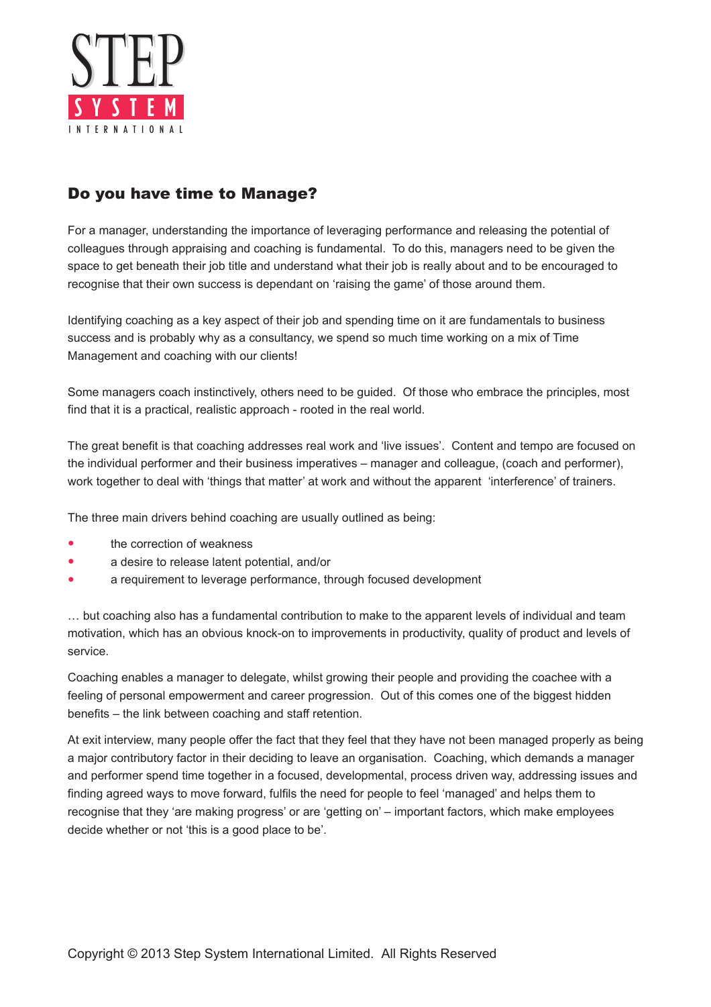

## Do you have time to Manage?

For a manager, understanding the importance of leveraging performance and releasing the potential of colleagues through appraising and coaching is fundamental. To do this, managers need to be given the space to get beneath their job title and understand what their job is really about and to be encouraged to recognise that their own success is dependant on 'raising the game' of those around them.

Identifying coaching as a key aspect of their job and spending time on it are fundamentals to business success and is probably why as a consultancy, we spend so much time working on a mix of Time Management and coaching with our clients!

Some managers coach instinctively, others need to be guided. Of those who embrace the principles, most find that it is a practical, realistic approach - rooted in the real world.

The great benefit is that coaching addresses real work and 'live issues'. Content and tempo are focused on the individual performer and their business imperatives – manager and colleague, (coach and performer), work together to deal with 'things that matter' at work and without the apparent 'interference' of trainers.

The three main drivers behind coaching are usually outlined as being:

- the correction of weakness
- a desire to release latent potential, and/or
- a requirement to leverage performance, through focused development

… but coaching also has a fundamental contribution to make to the apparent levels of individual and team motivation, which has an obvious knock-on to improvements in productivity, quality of product and levels of service.

Coaching enables a manager to delegate, whilst growing their people and providing the coachee with a feeling of personal empowerment and career progression. Out of this comes one of the biggest hidden benefits – the link between coaching and staff retention.

At exit interview, many people offer the fact that they feel that they have not been managed properly as being a major contributory factor in their deciding to leave an organisation. Coaching, which demands a manager and performer spend time together in a focused, developmental, process driven way, addressing issues and finding agreed ways to move forward, fulfils the need for people to feel 'managed' and helps them to recognise that they 'are making progress' or are 'getting on' – important factors, which make employees decide whether or not 'this is a good place to be'.